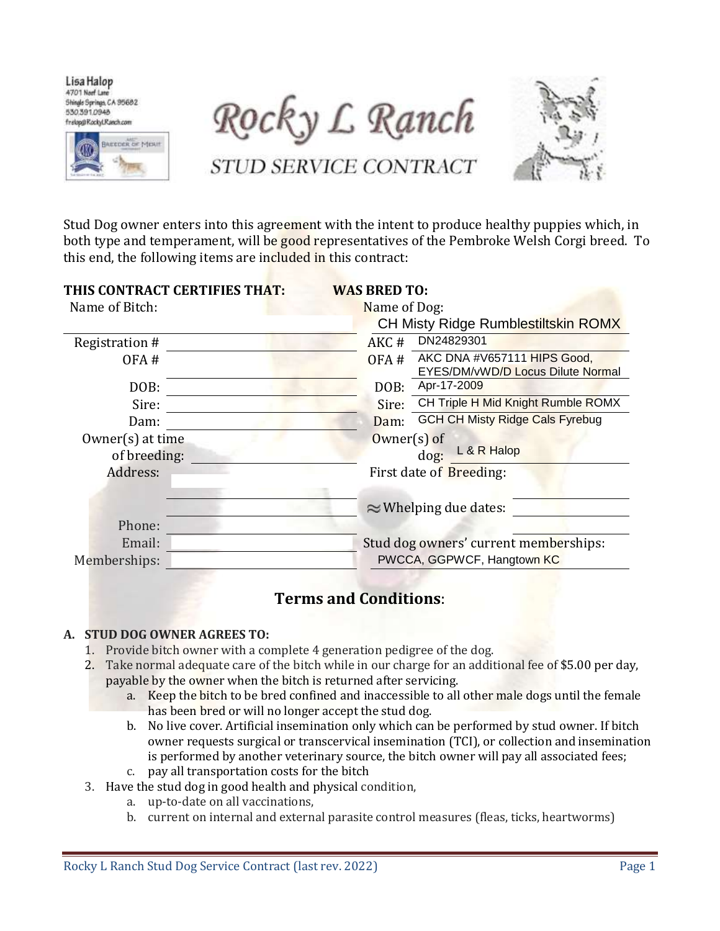Lisa Halop 4701 Neef Lane Shingle Springs, CA 95682 530,391,0948 frelop@RockyLRanch.com



Rocky L Ranch

STUD SERVICE CONTRACT



Stud Dog owner enters into this agreement with the intent to produce healthy puppies which, in both type and temperament, will be good representatives of the Pembroke Welsh Corgi breed. To this end, the following items are included in this contract:

| THIS CONTRACT CERTIFIES THAT:          | <b>WAS BRED TO:</b>                                                      |
|----------------------------------------|--------------------------------------------------------------------------|
| Name of Bitch:                         | Name of Dog:                                                             |
|                                        | <b>CH Misty Ridge Rumblestiltskin ROMX</b>                               |
| Registration #                         | DN24829301<br>AKC#                                                       |
| OFA#                                   | AKC DNA #V657111 HIPS Good,<br>OFA#<br>EYES/DM/vWD/D Locus Dilute Normal |
| DOB:                                   | Apr-17-2009<br>DOB:                                                      |
| Sire:                                  | CH Triple H Mid Knight Rumble ROMX<br>Sire:                              |
| Dam:                                   | <b>GCH CH Misty Ridge Cals Fyrebug</b><br>Dam:                           |
| $0$ wner $(s)$ at time<br>of breeding: | $0$ wner $(s)$ of<br>L & R Halop<br>$\log$ :                             |
| Address:                               | First date of Breeding:                                                  |
|                                        | $\approx$ Whelping due dates:                                            |
| Phone:                                 |                                                                          |
| Email:                                 | Stud dog owners' current memberships:                                    |
| Memberships:                           | PWCCA, GGPWCF, Hangtown KC                                               |
|                                        |                                                                          |

# **Terms and Conditions**:

#### **A. STUD DOG OWNER AGREES TO:**

- 1. Provide bitch owner with a complete 4 generation pedigree of the dog.
- 2. Take normal adequate care of the bitch while in our charge for an additional fee of \$5.00 per day, payable by the owner when the bitch is returned after servicing.
	- a. Keep the bitch to be bred confined and inaccessible to all other male dogs until the female has been bred or will no longer accept the stud dog.
	- b. No live cover. Artificial insemination only which can be performed by stud owner. If bitch owner requests surgical or transcervical insemination (TCI), or collection and insemination is performed by another veterinary source, the bitch owner will pay all associated fees;
	- c. pay all transportation costs for the bitch
- 3. Have the stud dog in good health and physical condition,
	- a. up-to-date on all vaccinations,
	- b. current on internal and external parasite control measures (fleas, ticks, heartworms)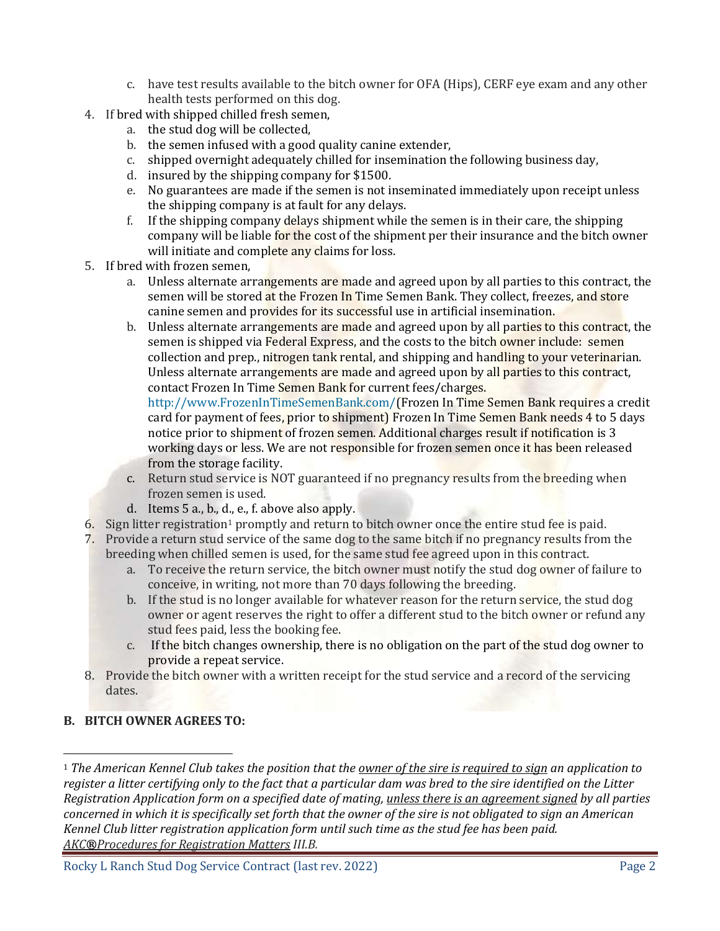- c. have test results available to the bitch owner for OFA (Hips), CERF eye exam and any other health tests performed on this dog.
- 4. If bred with shipped chilled fresh semen,
	- a. the stud dog will be collected,
	- b. the semen infused with a good quality canine extender,
	- c. shipped overnight adequately chilled for insemination the following business day,
	- d. insured by the shipping company for \$1500.
	- e. No guarantees are made if the semen is not inseminated immediately upon receipt unless the shipping company is at fault for any delays.
	- f. If the shipping company delays shipment while the semen is in their care, the shipping company will be liable for the cost of the shipment per their insurance and the bitch owner will initiate and complete any claims for loss.
- 5. If bred with frozen semen,
	- a. Unless alternate arrangements are made and agreed upon by all parties to this contract, the semen will be stored at the Frozen In Time Semen Bank. They collect, freezes, and store canine semen and provides for its successful use in artificial insemination.
	- b. Unless alternate arrangements are made and agreed upon by all parties to this contract, the semen is shipped via Federal Express, and the costs to the bitch owner include: semen collection and prep., nitrogen tank rental, and shipping and handling to your veterinarian. Unless alternate arrangements are made and agreed upon by all parties to this contract, contact Frozen In Time Semen Bank for current fees/charges.

[http://www.FrozenInTimeSemenBank.com/\(](http://www.frozenintimesemenbank.com/)Frozen In Time Semen Bank requires a credit card for payment of fees, prior to shipment) Frozen In Time Semen Bank needs 4 to 5 days notice prior to shipment of frozen semen. Additional charges result if notification is 3 working days or less. We are not responsible for frozen semen once it has been released from the storage facility.

- c. Return stud service is NOT guaranteed if no pregnancy results from the breeding when frozen semen is used.
- d. Items 5 a., b., d., e., f. above also apply.
- 6. Sign litter registration<sup>1</sup> promptly and return to bitch owner once the entire stud fee is paid.
- 7. Provide a return stud service of the same dog to the same bitch if no pregnancy results from the breeding when chilled semen is used, for the same stud fee agreed upon in this contract.
	- a. To receive the return service, the bitch owner must notify the stud dog owner of failure to conceive, in writing, not more than 70 days following the breeding.
	- b. If the stud is no longer available for whatever reason for the return service, the stud dog owner or agent reserves the right to offer a different stud to the bitch owner or refund any stud fees paid, less the booking fee.
	- c. If the bitch changes ownership, there is no obligation on the part of the stud dog owner to provide a repeat service.
- 8. Provide the bitch owner with a written receipt for the stud service and a record of the servicing dates.

# **B. BITCH OWNER AGREES TO:**

 $\overline{a}$ 

<sup>1</sup> *The [American Kennel Club](http://www.akc.org/registration/policies/index.cfm?page=4) takes the position that the owner of the sire is required to sign an application to register a litter certifying only to the fact that a particular dam was bred to the sire identified on the Litter Registration Application form on a specified date of mating, unless there is an agreement signed by all parties concerned in which it is specifically set forth that the owner of the sire is not obligated to sign an American Kennel Club litter registration application form until such time as the stud fee has been paid. AKC®Procedures for Registration Matters III.B.*

Rocky L Ranch Stud Dog Service Contract (last rev. 2022) Page 2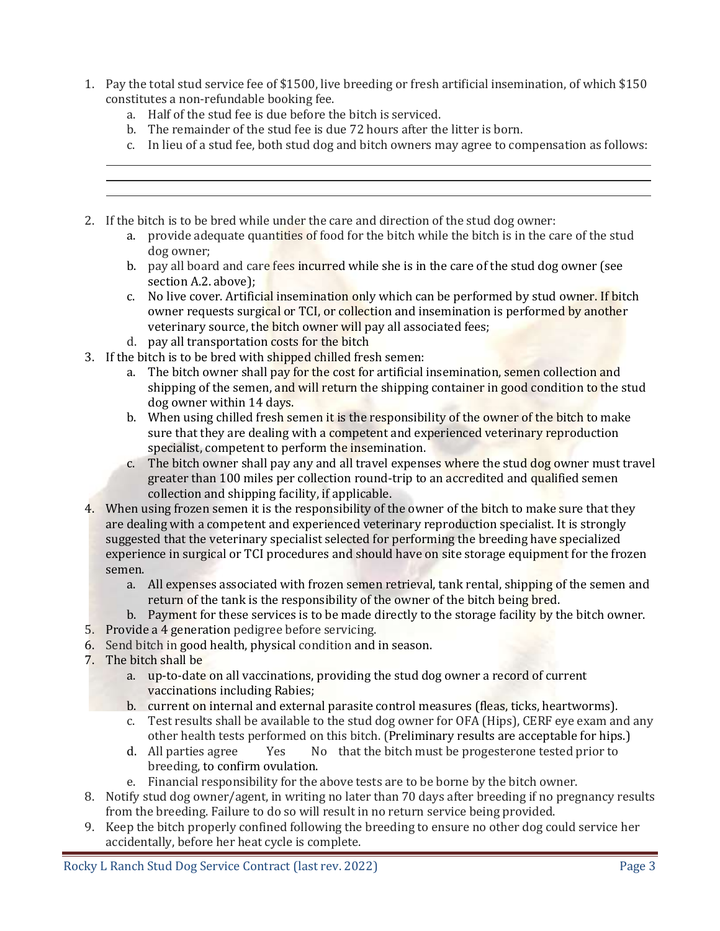- 1. Pay the total stud service fee of \$1500, live breeding or fresh artificial insemination, of which \$150 constitutes a non-refundable booking fee.
	- a. Half of the stud fee is due before the bitch is serviced.
	- b. The remainder of the stud fee is due 72 hours after the litter is born.
	- c. In lieu of a stud fee, both stud dog and bitch owners may agree to compensation as follows:
- 2. If the bitch is to be bred while under the care and direction of the stud dog owner:
	- a. provide adequate quantities of food for the bitch while the bitch is in the care of the stud dog owner;
	- b. pay all board and care fees incurred while she is in the care of the stud dog owner (see section A.2. above);
	- c. No live cover. Artificial insemination only which can be performed by stud owner. If bitch owner requests surgical or TCI, or collection and insemination is performed by another veterinary source, the bitch owner will pay all associated fees;
	- d. pay all transportation costs for the bitch
- 3. If the bitch is to be bred with shipped chilled fresh semen:
	- a. The bitch owner shall pay for the cost for artificial insemination, semen collection and shipping of the semen, and will return the shipping container in good condition to the stud dog owner within 14 days.
	- b. When using chilled fresh semen it is the responsibility of the owner of the bitch to make sure that they are dealing with a competent and experienced veterinary reproduction specialist, competent to perform the insemination.
	- c. The bitch owner shall pay any and all travel expenses where the stud dog owner must travel greater than 100 miles per collection round-trip to an accredited and qualified semen collection and shipping facility, if applicable.
- 4. When using frozen semen it is the responsibility of the owner of the bitch to make sure that they are dealing with a competent and experienced veterinary reproduction specialist. It is strongly suggested that the veterinary specialist selected for performing the breeding have specialized experience in surgical or TCI procedures and should have on site storage equipment for the frozen semen.
	- a. All expenses associated with frozen semen retrieval, tank rental, shipping of the semen and return of the tank is the responsibility of the owner of the bitch being bred.
	- b. Payment for these services is to be made directly to the storage facility by the bitch owner.
- 5. Provide a 4 generation pedigree before servicing.
- 6. Send bitch in good health, physical condition and in season.
- 7. The bitch shall be
	- a. up-to-date on all vaccinations, providing the stud dog owner a record of current vaccinations including Rabies;
	- b. current on internal and external parasite control measures (fleas, ticks, heartworms).
	- c. Test results shall be available to the stud dog owner for OFA (Hips), CERF eye exam and any other health tests performed on this bitch. (Preliminary results are acceptable for hips.)
	- d. All parties agree Yes No that the bitch must be progesterone tested prior to breeding, to confirm ovulation.
	- e. Financial responsibility for the above tests are to be borne by the bitch owner.
- 8. Notify stud dog owner/agent, in writing no later than 70 days after breeding if no pregnancy results from the breeding. Failure to do so will result in no return service being provided.
- 9. Keep the bitch properly confined following the breeding to ensure no other dog could service her accidentally, before her heat cycle is complete.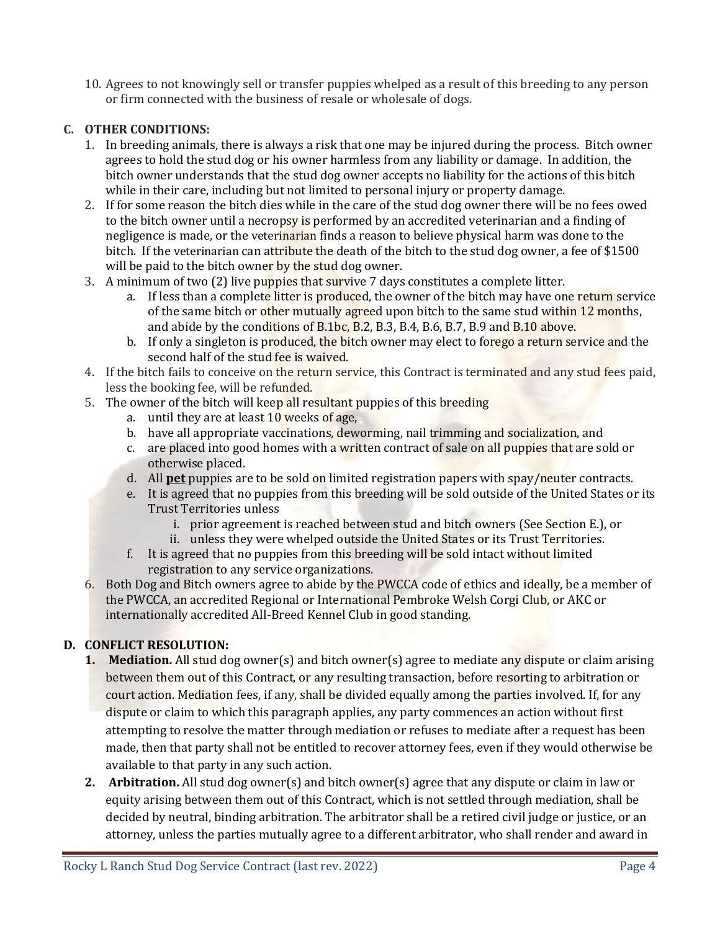10. Agrees to not knowingly sell or transfer puppies whelped as a result of this breeding to any person or firm connected with the business of resale or wholesale of dogs.

### **C. OTHER CONDITIONS:**

- 1. In breeding animals, there is always a risk that one may be injured during the process. Bitch owner agrees to hold the stud dog or his owner harmless from any liability or damage. In addition, the bitch owner understands that the stud dog owner accepts no liability for the actions of this bitch while in their care, including but not limited to personal injury or property damage.
- 2. If for some reason the bitch dies while in the care of the stud dog owner there will be no fees owed to the bitch owner until a necropsy is performed by an accredited veterinarian and a finding of negligence is made, or the veterinarian finds a reason to believe physical harm was done to the bitch. If the veterinarian can attribute the death of the bitch to the stud dog owner, a fee of \$1500 will be paid to the bitch owner by the stud dog owner.
- 3. A minimum of two (2) live puppies that survive 7 days constitutes a complete litter.
	- a. If less than a complete litter is produced, the owner of the bitch may have one return service of the same bitch or other mutually agreed upon bitch to the same stud within 12 months, and abide by the conditions of B.1bc, B.2, B.3, B.4, B.6, B.7, B.9 and  $B.10$  above.
	- b. If only a singleton is produced, the bitch owner may elect to forego a return service and the second half of the stud fee is waived.
- 4. If the bitch fails to conceive on the return service, this Contract is terminated and any stud fees paid, less the booking fee, will be refunded.
- 5. The owner of the bitch will keep all resultant puppies of this breeding
	- a. until they are at least  $10$  weeks of age,
	- b. have all appropriate vaccinations, deworming, nail trimming and socialization, and
	- c. are placed into good homes with a written contract of sale on all puppies that are sold or otherwise placed.
	- d. All **pet** puppies are to be sold on limited registration papers with spay/neuter contracts.
	- e. It is agreed that no puppies from this breeding will be sold outside of the United States or its Trust Territories unless
		- i. prior agreement is reached between stud and bitch owners (See Section E.), or
		- ii. unless they were whelped outside the United States or its Trust Territories.
	- f. It is agreed that no puppies from this breeding will be sold intact without limited registration to any service organizations.
- 6. Both Dog and Bitch owners agree to abide by the PWCCA code of ethics and ideally, be a member of the PWCCA, an accredited Regional or International Pembroke Welsh Corgi Club, or AKC or internationally accredited All-Breed Kennel Club in good standing.

## **D. CONFLICT RESOLUTION:**

- **1. Mediation.** All stud dog owner(s) and bitch owner(s) agree to mediate any dispute or claim arising between them out of this Contract, or any resulting transaction, before resorting to arbitration or court action. Mediation fees, if any, shall be divided equally among the parties involved. If, for any dispute or claim to which this paragraph applies, any party commences an action without first attempting to resolve the matter through mediation or refuses to mediate after a request has been made, then that party shall not be entitled to recover attorney fees, even if they would otherwise be available to that party in any such action.
- **2. Arbitration.** All stud dog owner(s) and bitch owner(s) agree that any dispute or claim in law or equity arising between them out of this Contract, which is not settled through mediation, shall be decided by neutral, binding arbitration. The arbitrator shall be a retired civil judge or justice, or an attorney, unless the parties mutually agree to a different arbitrator, who shall render and award in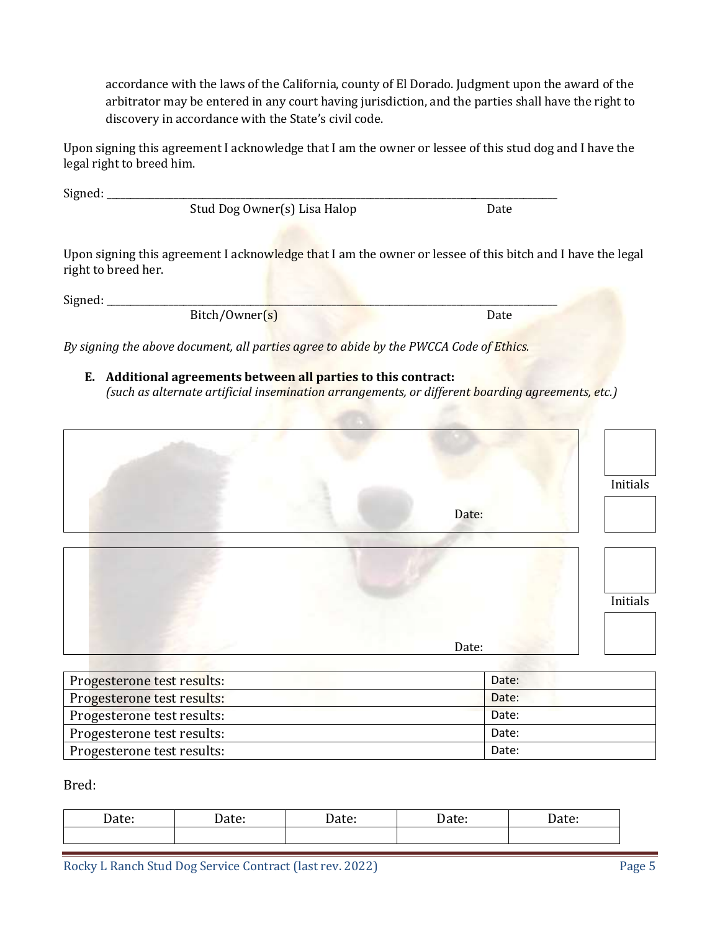accordance with the laws of the California, county of El Dorado. Judgment upon the award of the arbitrator may be entered in any court having jurisdiction, and the parties shall have the right to discovery in accordance with the State's civil code.

Upon signing this agreement I acknowledge that I am the owner or lessee of this stud dog and I have the legal right to breed him.

| Sigma<br>JILIITU. |  |
|-------------------|--|
|                   |  |

Stud Dog Owner(s) Lisa Halop Date

Upon signing this agreement I acknowledge that I am the owner or lessee of this bitch and I have the legal right to breed her.

Signed:

Bitch/Owner(s) Date

*By signing the above document, all parties agree to abide by the PWCCA Code of Ethics.*

**E. Additional agreements between all parties to this contract:**  *(such as alternate artificial insemination arrangements, or different boarding agreements, etc.)*

| Date: | Initials |
|-------|----------|
|       |          |
|       | Initials |
| Date: |          |

| Progesterone test results: | Date: |
|----------------------------|-------|
| Progesterone test results: | Date: |
| Progesterone test results: | Date: |
| Progesterone test results: | Date: |
| Progesterone test results: | Date: |

Bred:

| $1 - 1 -$<br>Date: | -<br>Dacc. | ue: | acc. | ate: |
|--------------------|------------|-----|------|------|
|                    |            |     |      |      |